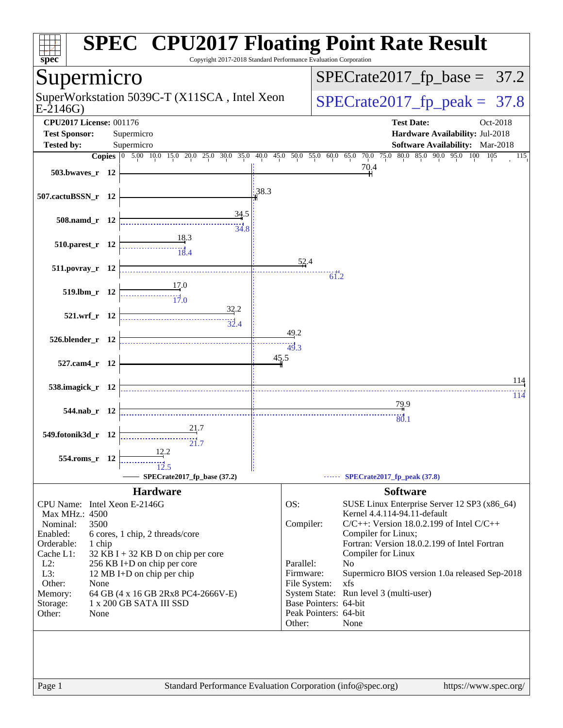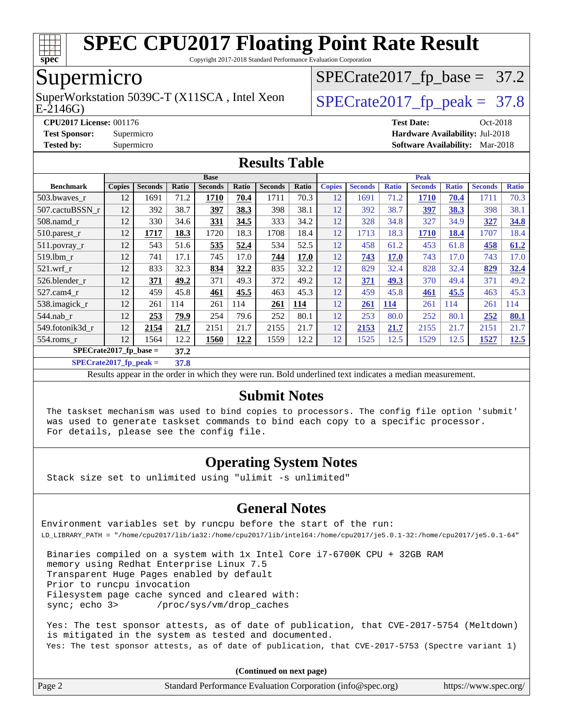

Copyright 2017-2018 Standard Performance Evaluation Corporation

## Supermicro

SuperWorkstation 5039C-T (X11SCA, Intel Xeon  $\big|$  [SPECrate2017\\_fp\\_peak =](http://www.spec.org/auto/cpu2017/Docs/result-fields.html#SPECrate2017fppeak) 37.8

 $SPECTate2017_fp\_base = 37.2$ 

E-2146G)

**[CPU2017 License:](http://www.spec.org/auto/cpu2017/Docs/result-fields.html#CPU2017License)** 001176 **[Test Date:](http://www.spec.org/auto/cpu2017/Docs/result-fields.html#TestDate)** Oct-2018 **[Test Sponsor:](http://www.spec.org/auto/cpu2017/Docs/result-fields.html#TestSponsor)** Supermicro **[Hardware Availability:](http://www.spec.org/auto/cpu2017/Docs/result-fields.html#HardwareAvailability)** Jul-2018 **[Tested by:](http://www.spec.org/auto/cpu2017/Docs/result-fields.html#Testedby)** Supermicro **[Software Availability:](http://www.spec.org/auto/cpu2017/Docs/result-fields.html#SoftwareAvailability)** Mar-2018

### **[Results Table](http://www.spec.org/auto/cpu2017/Docs/result-fields.html#ResultsTable)**

|                          | <b>Peak</b><br><b>Base</b> |                |       |                |       |                |       |               |                |              |                |              |                |              |
|--------------------------|----------------------------|----------------|-------|----------------|-------|----------------|-------|---------------|----------------|--------------|----------------|--------------|----------------|--------------|
| <b>Benchmark</b>         | <b>Copies</b>              | <b>Seconds</b> | Ratio | <b>Seconds</b> | Ratio | <b>Seconds</b> | Ratio | <b>Copies</b> | <b>Seconds</b> | <b>Ratio</b> | <b>Seconds</b> | <b>Ratio</b> | <b>Seconds</b> | <b>Ratio</b> |
| 503.bwaves_r             | 12                         | 1691           | 71.2  | 1710           | 70.4  | 1711           | 70.3  | 12            | 1691           | 71.2         | 1710           | 70.4         | 1711           | 70.3         |
| 507.cactuBSSN r          | 12                         | 392            | 38.7  | 397            | 38.3  | 398            | 38.1  | 12            | 392            | 38.7         | <u>397</u>     | 38.3         | 398            | 38.1         |
| 508.namd_r               | 12                         | 330            | 34.6  | 331            | 34.5  | 333            | 34.2  | 12            | 328            | 34.8         | 327            | 34.9         | 327            | 34.8         |
| 510.parest_r             | 12                         | 1717           | 18.3  | 1720           | 18.3  | 1708           | 18.4  | 12            | 1713           | 18.3         | 1710           | <u>18.4</u>  | 1707           | 18.4         |
| 511.povray r             | 12                         | 543            | 51.6  | 535            | 52.4  | 534            | 52.5  | 12            | 458            | 61.2         | 453            | 61.8         | 458            | 61.2         |
| 519.lbm r                | 12                         | 741            | 17.1  | 745            | 17.0  | 744            | 17.0  | 12            | 743            | 17.0         | 743            | 17.0         | 743            | 17.0         |
| $521$ .wrf r             | 12                         | 833            | 32.3  | 834            | 32.2  | 835            | 32.2  | 12            | 829            | 32.4         | 828            | 32.4         | 829            | 32.4         |
| 526.blender r            | 12                         | 371            | 49.2  | 371            | 49.3  | 372            | 49.2  | 12            | 371            | 49.3         | 370            | 49.4         | 371            | 49.2         |
| $527.cam4_r$             | 12                         | 459            | 45.8  | <u>461</u>     | 45.5  | 463            | 45.3  | 12            | 459            | 45.8         | 461            | 45.5         | 463            | 45.3         |
| 538.imagick_r            | 12                         | 261            | 114   | 261            | 114   | 261            | 114   | 12            | 261            | <b>114</b>   | 261            | 114          | 261            | 114          |
| $544$ .nab r             | 12                         | 253            | 79.9  | 254            | 79.6  | 252            | 80.1  | 12            | 253            | 80.0         | 252            | 80.1         | 252            | 80.1         |
| 549.fotonik3d r          | 12                         | 2154           | 21.7  | 2151           | 21.7  | 2155           | 21.7  | 12            | 2153           | 21.7         | 2155           | 21.7         | 2151           | 21.7         |
| 554.roms r               | 12                         | 1564           | 12.2  | 1560           | 12.2  | 1559           | 12.2  | 12            | 1525           | 12.5         | 1529           | 12.5         | 1527           | <u>12.5</u>  |
| $SPECrate2017$ fp base = |                            |                | 37.2  |                |       |                |       |               |                |              |                |              |                |              |

**[SPECrate2017\\_fp\\_peak =](http://www.spec.org/auto/cpu2017/Docs/result-fields.html#SPECrate2017fppeak) 37.8**

Results appear in the [order in which they were run.](http://www.spec.org/auto/cpu2017/Docs/result-fields.html#RunOrder) Bold underlined text [indicates a median measurement.](http://www.spec.org/auto/cpu2017/Docs/result-fields.html#Median)

#### **[Submit Notes](http://www.spec.org/auto/cpu2017/Docs/result-fields.html#SubmitNotes)**

 The taskset mechanism was used to bind copies to processors. The config file option 'submit' was used to generate taskset commands to bind each copy to a specific processor. For details, please see the config file.

#### **[Operating System Notes](http://www.spec.org/auto/cpu2017/Docs/result-fields.html#OperatingSystemNotes)**

Stack size set to unlimited using "ulimit -s unlimited"

#### **[General Notes](http://www.spec.org/auto/cpu2017/Docs/result-fields.html#GeneralNotes)**

Environment variables set by runcpu before the start of the run: LD\_LIBRARY\_PATH = "/home/cpu2017/lib/ia32:/home/cpu2017/lib/intel64:/home/cpu2017/je5.0.1-32:/home/cpu2017/je5.0.1-64"

 Binaries compiled on a system with 1x Intel Core i7-6700K CPU + 32GB RAM memory using Redhat Enterprise Linux 7.5 Transparent Huge Pages enabled by default Prior to runcpu invocation Filesystem page cache synced and cleared with: sync; echo 3> /proc/sys/vm/drop\_caches

 Yes: The test sponsor attests, as of date of publication, that CVE-2017-5754 (Meltdown) is mitigated in the system as tested and documented. Yes: The test sponsor attests, as of date of publication, that CVE-2017-5753 (Spectre variant 1)

**(Continued on next page)**

| Page 2<br>Standard Performance Evaluation Corporation (info@spec.org)<br>https://www.spec.org/ |
|------------------------------------------------------------------------------------------------|
|------------------------------------------------------------------------------------------------|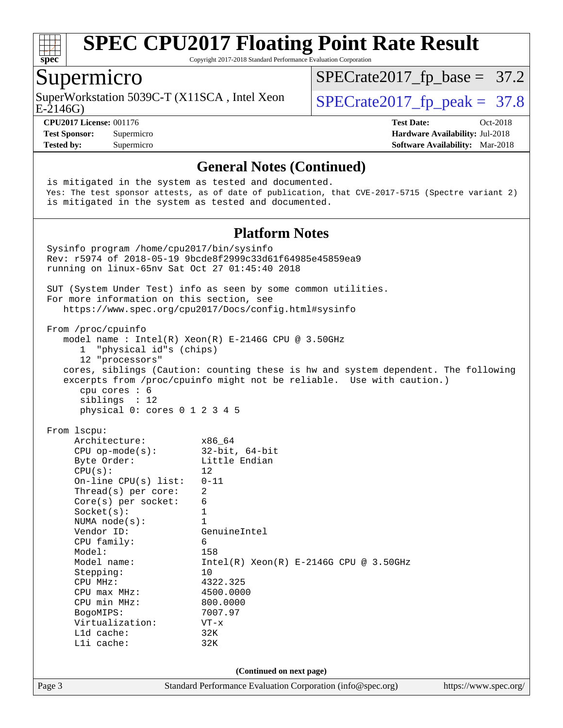

Copyright 2017-2018 Standard Performance Evaluation Corporation

### Supermicro

SuperWorkstation 5039C-T (X11SCA, Intel Xeon  $\big|$  [SPECrate2017\\_fp\\_peak =](http://www.spec.org/auto/cpu2017/Docs/result-fields.html#SPECrate2017fppeak) 37.8

 $SPECTate2017_fp\_base = 37.2$ 

E-2146G)

**[CPU2017 License:](http://www.spec.org/auto/cpu2017/Docs/result-fields.html#CPU2017License)** 001176 **[Test Date:](http://www.spec.org/auto/cpu2017/Docs/result-fields.html#TestDate)** Oct-2018 **[Test Sponsor:](http://www.spec.org/auto/cpu2017/Docs/result-fields.html#TestSponsor)** Supermicro **[Hardware Availability:](http://www.spec.org/auto/cpu2017/Docs/result-fields.html#HardwareAvailability)** Jul-2018 **[Tested by:](http://www.spec.org/auto/cpu2017/Docs/result-fields.html#Testedby)** Supermicro **[Software Availability:](http://www.spec.org/auto/cpu2017/Docs/result-fields.html#SoftwareAvailability)** Mar-2018

#### **[General Notes \(Continued\)](http://www.spec.org/auto/cpu2017/Docs/result-fields.html#GeneralNotes)**

Page 3 Standard Performance Evaluation Corporation [\(info@spec.org\)](mailto:info@spec.org) <https://www.spec.org/> is mitigated in the system as tested and documented. Yes: The test sponsor attests, as of date of publication, that CVE-2017-5715 (Spectre variant 2) is mitigated in the system as tested and documented. **[Platform Notes](http://www.spec.org/auto/cpu2017/Docs/result-fields.html#PlatformNotes)** Sysinfo program /home/cpu2017/bin/sysinfo Rev: r5974 of 2018-05-19 9bcde8f2999c33d61f64985e45859ea9 running on linux-65nv Sat Oct 27 01:45:40 2018 SUT (System Under Test) info as seen by some common utilities. For more information on this section, see <https://www.spec.org/cpu2017/Docs/config.html#sysinfo> From /proc/cpuinfo model name : Intel(R) Xeon(R) E-2146G CPU @ 3.50GHz 1 "physical id"s (chips) 12 "processors" cores, siblings (Caution: counting these is hw and system dependent. The following excerpts from /proc/cpuinfo might not be reliable. Use with caution.) cpu cores : 6 siblings : 12 physical 0: cores 0 1 2 3 4 5 From lscpu: Architecture: x86\_64 CPU op-mode(s): 32-bit, 64-bit Byte Order: Little Endian  $CPU(s):$  12 On-line CPU(s) list: 0-11 Thread(s) per core: 2 Core(s) per socket: 6 Socket(s): 1 NUMA node(s): 1<br>Vendor ID: Ge GenuineIntel CPU family: 6 Model: 158 Model name: Intel(R) Xeon(R) E-2146G CPU @ 3.50GHz Stepping: 10 CPU MHz: 4322.325 CPU max MHz: 4500.0000 CPU min MHz: 800.0000 BogoMIPS: 7007.97 Virtualization: VT-x L1d cache: 32K L1i cache: 32K **(Continued on next page)**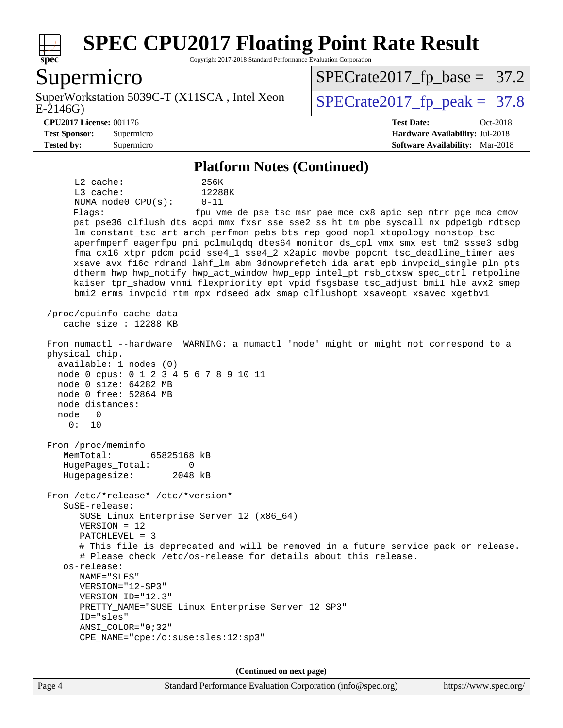

Copyright 2017-2018 Standard Performance Evaluation Corporation

### Supermicro

E-2146G) SuperWorkstation 5039C-T (X11SCA, Intel Xeon  $\big|$  [SPECrate2017\\_fp\\_peak =](http://www.spec.org/auto/cpu2017/Docs/result-fields.html#SPECrate2017fppeak) 37.8

[SPECrate2017\\_fp\\_base =](http://www.spec.org/auto/cpu2017/Docs/result-fields.html#SPECrate2017fpbase) 37.2

**[Test Sponsor:](http://www.spec.org/auto/cpu2017/Docs/result-fields.html#TestSponsor)** Supermicro **[Hardware Availability:](http://www.spec.org/auto/cpu2017/Docs/result-fields.html#HardwareAvailability)** Jul-2018 **[Tested by:](http://www.spec.org/auto/cpu2017/Docs/result-fields.html#Testedby)** Supermicro **[Software Availability:](http://www.spec.org/auto/cpu2017/Docs/result-fields.html#SoftwareAvailability)** Mar-2018

**[CPU2017 License:](http://www.spec.org/auto/cpu2017/Docs/result-fields.html#CPU2017License)** 001176 **[Test Date:](http://www.spec.org/auto/cpu2017/Docs/result-fields.html#TestDate)** Oct-2018

**[Platform Notes \(Continued\)](http://www.spec.org/auto/cpu2017/Docs/result-fields.html#PlatformNotes)**

 L2 cache: 256K L3 cache: 12288K NUMA node0 CPU(s): 0-11 Flags: fpu vme de pse tsc msr pae mce cx8 apic sep mtrr pge mca cmov pat pse36 clflush dts acpi mmx fxsr sse sse2 ss ht tm pbe syscall nx pdpe1gb rdtscp lm constant tsc art arch perfmon pebs bts rep good nopl xtopology nonstop tsc aperfmperf eagerfpu pni pclmulqdq dtes64 monitor ds\_cpl vmx smx est tm2 ssse3 sdbg fma cx16 xtpr pdcm pcid sse4\_1 sse4\_2 x2apic movbe popcnt tsc\_deadline\_timer aes xsave avx f16c rdrand lahf\_lm abm 3dnowprefetch ida arat epb invpcid\_single pln pts dtherm hwp hwp\_notify hwp\_act\_window hwp\_epp intel\_pt rsb\_ctxsw spec\_ctrl retpoline kaiser tpr\_shadow vnmi flexpriority ept vpid fsgsbase tsc\_adjust bmi1 hle avx2 smep bmi2 erms invpcid rtm mpx rdseed adx smap clflushopt xsaveopt xsavec xgetbv1 /proc/cpuinfo cache data cache size : 12288 KB From numactl --hardware WARNING: a numactl 'node' might or might not correspond to a physical chip. available: 1 nodes (0) node 0 cpus: 0 1 2 3 4 5 6 7 8 9 10 11 node 0 size: 64282 MB node 0 free: 52864 MB node distances: node 0 0: 10 From /proc/meminfo MemTotal: 65825168 kB HugePages\_Total: 0 Hugepagesize: 2048 kB From /etc/\*release\* /etc/\*version\* SuSE-release: SUSE Linux Enterprise Server 12 (x86\_64) VERSION = 12 PATCHLEVEL = 3 # This file is deprecated and will be removed in a future service pack or release. # Please check /etc/os-release for details about this release. os-release: NAME="SLES" VERSION="12-SP3" VERSION\_ID="12.3" PRETTY\_NAME="SUSE Linux Enterprise Server 12 SP3" ID="sles" ANSI\_COLOR="0;32" CPE\_NAME="cpe:/o:suse:sles:12:sp3"

**(Continued on next page)**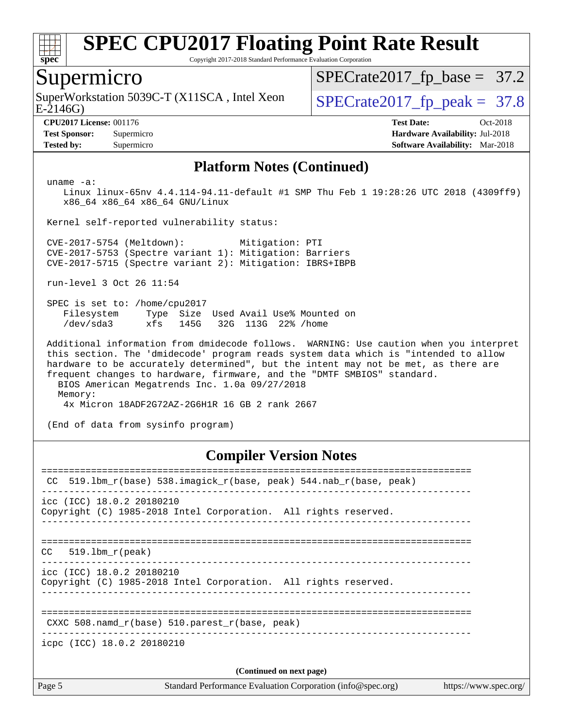

Copyright 2017-2018 Standard Performance Evaluation Corporation

### Supermicro

E-2146G) SuperWorkstation 5039C-T (X11SCA, Intel Xeon  $\big|$  [SPECrate2017\\_fp\\_peak =](http://www.spec.org/auto/cpu2017/Docs/result-fields.html#SPECrate2017fppeak) 37.8

 $SPECTate2017_fp\_base = 37.2$ 

**[CPU2017 License:](http://www.spec.org/auto/cpu2017/Docs/result-fields.html#CPU2017License)** 001176 **[Test Date:](http://www.spec.org/auto/cpu2017/Docs/result-fields.html#TestDate)** Oct-2018 **[Test Sponsor:](http://www.spec.org/auto/cpu2017/Docs/result-fields.html#TestSponsor)** Supermicro **[Hardware Availability:](http://www.spec.org/auto/cpu2017/Docs/result-fields.html#HardwareAvailability)** Jul-2018 **[Tested by:](http://www.spec.org/auto/cpu2017/Docs/result-fields.html#Testedby)** Supermicro **[Software Availability:](http://www.spec.org/auto/cpu2017/Docs/result-fields.html#SoftwareAvailability)** Mar-2018

#### **[Platform Notes \(Continued\)](http://www.spec.org/auto/cpu2017/Docs/result-fields.html#PlatformNotes)**

uname -a:

 Linux linux-65nv 4.4.114-94.11-default #1 SMP Thu Feb 1 19:28:26 UTC 2018 (4309ff9) x86\_64 x86\_64 x86\_64 GNU/Linux

Kernel self-reported vulnerability status:

 CVE-2017-5754 (Meltdown): Mitigation: PTI CVE-2017-5753 (Spectre variant 1): Mitigation: Barriers CVE-2017-5715 (Spectre variant 2): Mitigation: IBRS+IBPB

run-level 3 Oct 26 11:54

 SPEC is set to: /home/cpu2017 Filesystem Type Size Used Avail Use% Mounted on /dev/sda3 xfs 145G 32G 113G 22% /home

 Additional information from dmidecode follows. WARNING: Use caution when you interpret this section. The 'dmidecode' program reads system data which is "intended to allow hardware to be accurately determined", but the intent may not be met, as there are frequent changes to hardware, firmware, and the "DMTF SMBIOS" standard. BIOS American Megatrends Inc. 1.0a 09/27/2018

Memory:

4x Micron 18ADF2G72AZ-2G6H1R 16 GB 2 rank 2667

(End of data from sysinfo program)

#### **[Compiler Version Notes](http://www.spec.org/auto/cpu2017/Docs/result-fields.html#CompilerVersionNotes)**

| CC.                                                  | 519.1bm_r(base) 538.imagick_r(base, peak) 544.nab_r(base, peak) |                       |
|------------------------------------------------------|-----------------------------------------------------------------|-----------------------|
| icc (ICC) 18.0.2 20180210                            | Copyright (C) 1985-2018 Intel Corporation. All rights reserved. |                       |
| 519.1bm r(peak)<br>CC.                               |                                                                 |                       |
| icc (ICC) 18.0.2 20180210                            | Copyright (C) 1985-2018 Intel Corporation. All rights reserved. |                       |
| CXXC 508. namd $r(base)$ 510. parest $r(base, peak)$ |                                                                 |                       |
| icpc (ICC) 18.0.2 20180210                           |                                                                 |                       |
|                                                      | (Continued on next page)                                        |                       |
| Page 5                                               | Standard Performance Evaluation Corporation (info@spec.org)     | https://www.spec.org/ |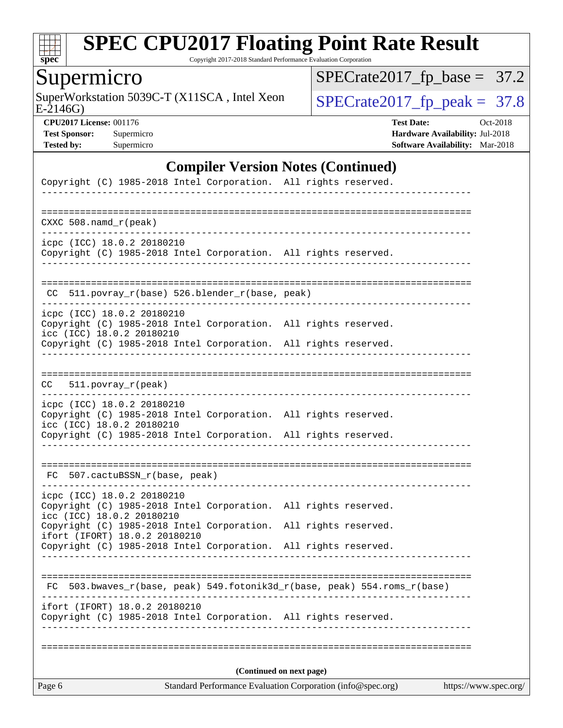

Copyright 2017-2018 Standard Performance Evaluation Corporation

# Supermicro

E-2146G) SuperWorkstation 5039C-T (X11SCA, Intel Xeon  $SPECrate2017_fp\_peak = 37.8$ 

[SPECrate2017\\_fp\\_base =](http://www.spec.org/auto/cpu2017/Docs/result-fields.html#SPECrate2017fpbase) 37.2

**[CPU2017 License:](http://www.spec.org/auto/cpu2017/Docs/result-fields.html#CPU2017License)** 001176 **[Test Date:](http://www.spec.org/auto/cpu2017/Docs/result-fields.html#TestDate)** Oct-2018 **[Test Sponsor:](http://www.spec.org/auto/cpu2017/Docs/result-fields.html#TestSponsor)** Supermicro **[Hardware Availability:](http://www.spec.org/auto/cpu2017/Docs/result-fields.html#HardwareAvailability)** Jul-2018 **[Tested by:](http://www.spec.org/auto/cpu2017/Docs/result-fields.html#Testedby)** Supermicro **Supermicro [Software Availability:](http://www.spec.org/auto/cpu2017/Docs/result-fields.html#SoftwareAvailability)** Mar-2018

### **[Compiler Version Notes \(Continued\)](http://www.spec.org/auto/cpu2017/Docs/result-fields.html#CompilerVersionNotes)**

| Page 6                    |                                              |  | Standard Performance Evaluation Corporation (info@spec.org)           | https://www.spec.org/ |  |  |  |
|---------------------------|----------------------------------------------|--|-----------------------------------------------------------------------|-----------------------|--|--|--|
|                           | (Continued on next page)                     |  |                                                                       |                       |  |  |  |
|                           |                                              |  | Copyright (C) 1985-2018 Intel Corporation. All rights reserved.       |                       |  |  |  |
|                           | ifort (IFORT) 18.0.2 20180210                |  | 503.bwaves_r(base, peak) 549.fotonik3d_r(base, peak) 554.roms_r(base) |                       |  |  |  |
|                           |                                              |  |                                                                       |                       |  |  |  |
|                           |                                              |  | Copyright (C) 1985-2018 Intel Corporation. All rights reserved.       |                       |  |  |  |
|                           | ifort (IFORT) 18.0.2 20180210                |  | Copyright (C) 1985-2018 Intel Corporation. All rights reserved.       |                       |  |  |  |
| icc (ICC) 18.0.2 20180210 | icpc (ICC) 18.0.2 20180210                   |  | Copyright (C) 1985-2018 Intel Corporation. All rights reserved.       |                       |  |  |  |
|                           | FC 507.cactuBSSN_r(base, peak)               |  |                                                                       |                       |  |  |  |
|                           |                                              |  | Copyright (C) 1985-2018 Intel Corporation. All rights reserved.       |                       |  |  |  |
| icc (ICC) 18.0.2 20180210 | icpc (ICC) 18.0.2 20180210                   |  | Copyright (C) 1985-2018 Intel Corporation. All rights reserved.       |                       |  |  |  |
| CC                        | $511. povray_r (peak)$                       |  |                                                                       |                       |  |  |  |
|                           |                                              |  |                                                                       |                       |  |  |  |
| icc (ICC) 18.0.2 20180210 |                                              |  | Copyright (C) 1985-2018 Intel Corporation. All rights reserved.       |                       |  |  |  |
|                           | icpc (ICC) 18.0.2 20180210                   |  | Copyright (C) 1985-2018 Intel Corporation. All rights reserved.       |                       |  |  |  |
| CC                        | 511.povray_r(base) 526.blender_r(base, peak) |  |                                                                       |                       |  |  |  |
|                           |                                              |  | Copyright (C) 1985-2018 Intel Corporation. All rights reserved.       |                       |  |  |  |
|                           | icpc (ICC) 18.0.2 20180210                   |  |                                                                       |                       |  |  |  |
| CXXC $508.namd_r(peak)$   |                                              |  |                                                                       |                       |  |  |  |
|                           |                                              |  | Copyright (C) 1985-2018 Intel Corporation. All rights reserved.       |                       |  |  |  |
|                           |                                              |  |                                                                       |                       |  |  |  |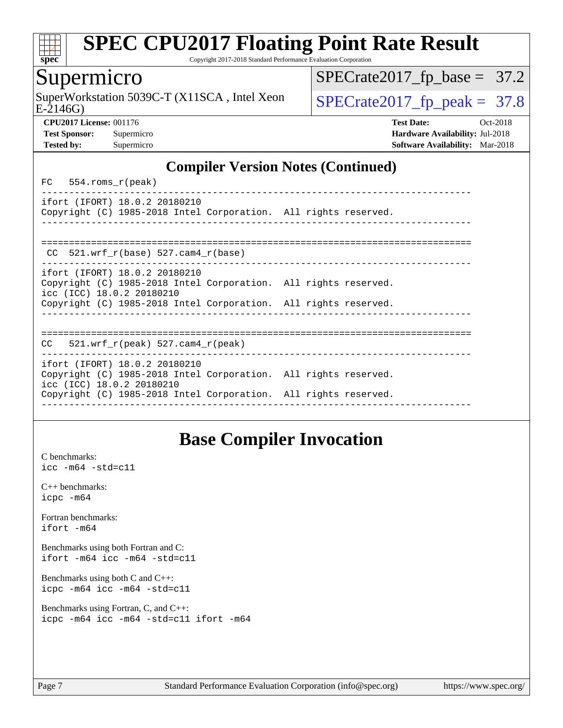

Copyright 2017-2018 Standard Performance Evaluation Corporation

### Supermicro

E-2146G) SuperWorkstation 5039C-T (X11SCA, Intel Xeon  $\big|$  [SPECrate2017\\_fp\\_peak =](http://www.spec.org/auto/cpu2017/Docs/result-fields.html#SPECrate2017fppeak) 37.8

 $SPECTate2017_fp\_base = 37.2$ 

**[CPU2017 License:](http://www.spec.org/auto/cpu2017/Docs/result-fields.html#CPU2017License)** 001176 **[Test Date:](http://www.spec.org/auto/cpu2017/Docs/result-fields.html#TestDate)** Oct-2018 **[Test Sponsor:](http://www.spec.org/auto/cpu2017/Docs/result-fields.html#TestSponsor)** Supermicro **[Hardware Availability:](http://www.spec.org/auto/cpu2017/Docs/result-fields.html#HardwareAvailability)** Jul-2018 **[Tested by:](http://www.spec.org/auto/cpu2017/Docs/result-fields.html#Testedby)** Supermicro **[Software Availability:](http://www.spec.org/auto/cpu2017/Docs/result-fields.html#SoftwareAvailability)** Mar-2018

### **[Compiler Version Notes \(Continued\)](http://www.spec.org/auto/cpu2017/Docs/result-fields.html#CompilerVersionNotes)**

FC 554.roms\_r(peak)

----------------------------------------------------------------------------- ifort (IFORT) 18.0.2 20180210 Copyright (C) 1985-2018 Intel Corporation. All rights reserved. ------------------------------------------------------------------------------

| CC $521.$ wrf r(base) 527.cam4 r(base)<br>ifort (IFORT) 18.0.2 20180210<br>Copyright (C) 1985-2018 Intel Corporation. All rights reserved. |                           |  |
|--------------------------------------------------------------------------------------------------------------------------------------------|---------------------------|--|
|                                                                                                                                            |                           |  |
|                                                                                                                                            | icc (ICC) 18.0.2 20180210 |  |

Copyright (C) 1985-2018 Intel Corporation. All rights reserved.

==============================================================================  $CC = 521$ .wrf  $r(\text{peak})$  527.cam4  $r(\text{peak})$ 

|  | icc (ICC) 18.0.2 20180210 | ifort (IFORT) 18.0.2 20180210 | Copyright (C) 1985-2018 Intel Corporation. All rights reserved. |  |
|--|---------------------------|-------------------------------|-----------------------------------------------------------------|--|
|  |                           |                               |                                                                 |  |

Copyright (C) 1985-2018 Intel Corporation. All rights reserved. ------------------------------------------------------------------------------

# **[Base Compiler Invocation](http://www.spec.org/auto/cpu2017/Docs/result-fields.html#BaseCompilerInvocation)**

[C benchmarks](http://www.spec.org/auto/cpu2017/Docs/result-fields.html#Cbenchmarks): [icc -m64 -std=c11](http://www.spec.org/cpu2017/results/res2018q4/cpu2017-20181029-09425.flags.html#user_CCbase_intel_icc_64bit_c11_33ee0cdaae7deeeab2a9725423ba97205ce30f63b9926c2519791662299b76a0318f32ddfffdc46587804de3178b4f9328c46fa7c2b0cd779d7a61945c91cd35)

|               | $C_{++}$ benchmarks: |
|---------------|----------------------|
| $icpc$ $-m64$ |                      |

[Fortran benchmarks](http://www.spec.org/auto/cpu2017/Docs/result-fields.html#Fortranbenchmarks): [ifort -m64](http://www.spec.org/cpu2017/results/res2018q4/cpu2017-20181029-09425.flags.html#user_FCbase_intel_ifort_64bit_24f2bb282fbaeffd6157abe4f878425411749daecae9a33200eee2bee2fe76f3b89351d69a8130dd5949958ce389cf37ff59a95e7a40d588e8d3a57e0c3fd751)

[Benchmarks using both Fortran and C](http://www.spec.org/auto/cpu2017/Docs/result-fields.html#BenchmarksusingbothFortranandC): [ifort -m64](http://www.spec.org/cpu2017/results/res2018q4/cpu2017-20181029-09425.flags.html#user_CC_FCbase_intel_ifort_64bit_24f2bb282fbaeffd6157abe4f878425411749daecae9a33200eee2bee2fe76f3b89351d69a8130dd5949958ce389cf37ff59a95e7a40d588e8d3a57e0c3fd751) [icc -m64 -std=c11](http://www.spec.org/cpu2017/results/res2018q4/cpu2017-20181029-09425.flags.html#user_CC_FCbase_intel_icc_64bit_c11_33ee0cdaae7deeeab2a9725423ba97205ce30f63b9926c2519791662299b76a0318f32ddfffdc46587804de3178b4f9328c46fa7c2b0cd779d7a61945c91cd35)

[Benchmarks using both C and C++](http://www.spec.org/auto/cpu2017/Docs/result-fields.html#BenchmarksusingbothCandCXX): [icpc -m64](http://www.spec.org/cpu2017/results/res2018q4/cpu2017-20181029-09425.flags.html#user_CC_CXXbase_intel_icpc_64bit_4ecb2543ae3f1412ef961e0650ca070fec7b7afdcd6ed48761b84423119d1bf6bdf5cad15b44d48e7256388bc77273b966e5eb805aefd121eb22e9299b2ec9d9) [icc -m64 -std=c11](http://www.spec.org/cpu2017/results/res2018q4/cpu2017-20181029-09425.flags.html#user_CC_CXXbase_intel_icc_64bit_c11_33ee0cdaae7deeeab2a9725423ba97205ce30f63b9926c2519791662299b76a0318f32ddfffdc46587804de3178b4f9328c46fa7c2b0cd779d7a61945c91cd35)

[Benchmarks using Fortran, C, and C++:](http://www.spec.org/auto/cpu2017/Docs/result-fields.html#BenchmarksusingFortranCandCXX) [icpc -m64](http://www.spec.org/cpu2017/results/res2018q4/cpu2017-20181029-09425.flags.html#user_CC_CXX_FCbase_intel_icpc_64bit_4ecb2543ae3f1412ef961e0650ca070fec7b7afdcd6ed48761b84423119d1bf6bdf5cad15b44d48e7256388bc77273b966e5eb805aefd121eb22e9299b2ec9d9) [icc -m64 -std=c11](http://www.spec.org/cpu2017/results/res2018q4/cpu2017-20181029-09425.flags.html#user_CC_CXX_FCbase_intel_icc_64bit_c11_33ee0cdaae7deeeab2a9725423ba97205ce30f63b9926c2519791662299b76a0318f32ddfffdc46587804de3178b4f9328c46fa7c2b0cd779d7a61945c91cd35) [ifort -m64](http://www.spec.org/cpu2017/results/res2018q4/cpu2017-20181029-09425.flags.html#user_CC_CXX_FCbase_intel_ifort_64bit_24f2bb282fbaeffd6157abe4f878425411749daecae9a33200eee2bee2fe76f3b89351d69a8130dd5949958ce389cf37ff59a95e7a40d588e8d3a57e0c3fd751)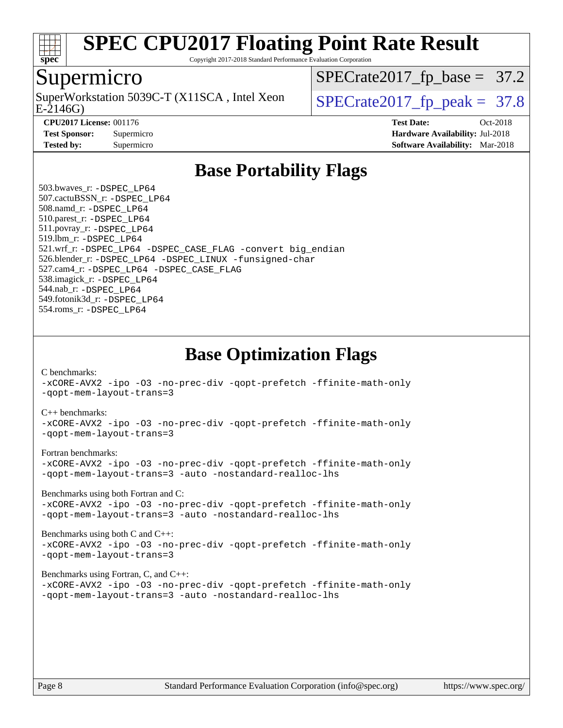

Copyright 2017-2018 Standard Performance Evaluation Corporation

### Supermicro

SuperWorkstation 5039C-T (X11SCA, Intel Xeon<br>E-2146G)

 $SPECrate2017_fp\_base = 37.2$ 

 $SPECTate 2017_f p\_peak = 37.8$ 

**[CPU2017 License:](http://www.spec.org/auto/cpu2017/Docs/result-fields.html#CPU2017License)** 001176 **[Test Date:](http://www.spec.org/auto/cpu2017/Docs/result-fields.html#TestDate)** Oct-2018 **[Test Sponsor:](http://www.spec.org/auto/cpu2017/Docs/result-fields.html#TestSponsor)** Supermicro **[Hardware Availability:](http://www.spec.org/auto/cpu2017/Docs/result-fields.html#HardwareAvailability)** Jul-2018 **[Tested by:](http://www.spec.org/auto/cpu2017/Docs/result-fields.html#Testedby)** Supermicro **[Software Availability:](http://www.spec.org/auto/cpu2017/Docs/result-fields.html#SoftwareAvailability)** Mar-2018

## **[Base Portability Flags](http://www.spec.org/auto/cpu2017/Docs/result-fields.html#BasePortabilityFlags)**

 503.bwaves\_r: [-DSPEC\\_LP64](http://www.spec.org/cpu2017/results/res2018q4/cpu2017-20181029-09425.flags.html#suite_basePORTABILITY503_bwaves_r_DSPEC_LP64) 507.cactuBSSN\_r: [-DSPEC\\_LP64](http://www.spec.org/cpu2017/results/res2018q4/cpu2017-20181029-09425.flags.html#suite_basePORTABILITY507_cactuBSSN_r_DSPEC_LP64) 508.namd\_r: [-DSPEC\\_LP64](http://www.spec.org/cpu2017/results/res2018q4/cpu2017-20181029-09425.flags.html#suite_basePORTABILITY508_namd_r_DSPEC_LP64) 510.parest\_r: [-DSPEC\\_LP64](http://www.spec.org/cpu2017/results/res2018q4/cpu2017-20181029-09425.flags.html#suite_basePORTABILITY510_parest_r_DSPEC_LP64) 511.povray\_r: [-DSPEC\\_LP64](http://www.spec.org/cpu2017/results/res2018q4/cpu2017-20181029-09425.flags.html#suite_basePORTABILITY511_povray_r_DSPEC_LP64) 519.lbm\_r: [-DSPEC\\_LP64](http://www.spec.org/cpu2017/results/res2018q4/cpu2017-20181029-09425.flags.html#suite_basePORTABILITY519_lbm_r_DSPEC_LP64) 521.wrf\_r: [-DSPEC\\_LP64](http://www.spec.org/cpu2017/results/res2018q4/cpu2017-20181029-09425.flags.html#suite_basePORTABILITY521_wrf_r_DSPEC_LP64) [-DSPEC\\_CASE\\_FLAG](http://www.spec.org/cpu2017/results/res2018q4/cpu2017-20181029-09425.flags.html#b521.wrf_r_baseCPORTABILITY_DSPEC_CASE_FLAG) [-convert big\\_endian](http://www.spec.org/cpu2017/results/res2018q4/cpu2017-20181029-09425.flags.html#user_baseFPORTABILITY521_wrf_r_convert_big_endian_c3194028bc08c63ac5d04de18c48ce6d347e4e562e8892b8bdbdc0214820426deb8554edfa529a3fb25a586e65a3d812c835984020483e7e73212c4d31a38223) 526.blender\_r: [-DSPEC\\_LP64](http://www.spec.org/cpu2017/results/res2018q4/cpu2017-20181029-09425.flags.html#suite_basePORTABILITY526_blender_r_DSPEC_LP64) [-DSPEC\\_LINUX](http://www.spec.org/cpu2017/results/res2018q4/cpu2017-20181029-09425.flags.html#b526.blender_r_baseCPORTABILITY_DSPEC_LINUX) [-funsigned-char](http://www.spec.org/cpu2017/results/res2018q4/cpu2017-20181029-09425.flags.html#user_baseCPORTABILITY526_blender_r_force_uchar_40c60f00ab013830e2dd6774aeded3ff59883ba5a1fc5fc14077f794d777847726e2a5858cbc7672e36e1b067e7e5c1d9a74f7176df07886a243d7cc18edfe67) 527.cam4\_r: [-DSPEC\\_LP64](http://www.spec.org/cpu2017/results/res2018q4/cpu2017-20181029-09425.flags.html#suite_basePORTABILITY527_cam4_r_DSPEC_LP64) [-DSPEC\\_CASE\\_FLAG](http://www.spec.org/cpu2017/results/res2018q4/cpu2017-20181029-09425.flags.html#b527.cam4_r_baseCPORTABILITY_DSPEC_CASE_FLAG) 538.imagick\_r: [-DSPEC\\_LP64](http://www.spec.org/cpu2017/results/res2018q4/cpu2017-20181029-09425.flags.html#suite_basePORTABILITY538_imagick_r_DSPEC_LP64) 544.nab\_r: [-DSPEC\\_LP64](http://www.spec.org/cpu2017/results/res2018q4/cpu2017-20181029-09425.flags.html#suite_basePORTABILITY544_nab_r_DSPEC_LP64) 549.fotonik3d\_r: [-DSPEC\\_LP64](http://www.spec.org/cpu2017/results/res2018q4/cpu2017-20181029-09425.flags.html#suite_basePORTABILITY549_fotonik3d_r_DSPEC_LP64) 554.roms\_r: [-DSPEC\\_LP64](http://www.spec.org/cpu2017/results/res2018q4/cpu2017-20181029-09425.flags.html#suite_basePORTABILITY554_roms_r_DSPEC_LP64)

**[Base Optimization Flags](http://www.spec.org/auto/cpu2017/Docs/result-fields.html#BaseOptimizationFlags)**

[C benchmarks](http://www.spec.org/auto/cpu2017/Docs/result-fields.html#Cbenchmarks):

[-xCORE-AVX2](http://www.spec.org/cpu2017/results/res2018q4/cpu2017-20181029-09425.flags.html#user_CCbase_f-xCORE-AVX2) [-ipo](http://www.spec.org/cpu2017/results/res2018q4/cpu2017-20181029-09425.flags.html#user_CCbase_f-ipo) [-O3](http://www.spec.org/cpu2017/results/res2018q4/cpu2017-20181029-09425.flags.html#user_CCbase_f-O3) [-no-prec-div](http://www.spec.org/cpu2017/results/res2018q4/cpu2017-20181029-09425.flags.html#user_CCbase_f-no-prec-div) [-qopt-prefetch](http://www.spec.org/cpu2017/results/res2018q4/cpu2017-20181029-09425.flags.html#user_CCbase_f-qopt-prefetch) [-ffinite-math-only](http://www.spec.org/cpu2017/results/res2018q4/cpu2017-20181029-09425.flags.html#user_CCbase_f_finite_math_only_cb91587bd2077682c4b38af759c288ed7c732db004271a9512da14a4f8007909a5f1427ecbf1a0fb78ff2a814402c6114ac565ca162485bbcae155b5e4258871) [-qopt-mem-layout-trans=3](http://www.spec.org/cpu2017/results/res2018q4/cpu2017-20181029-09425.flags.html#user_CCbase_f-qopt-mem-layout-trans_de80db37974c74b1f0e20d883f0b675c88c3b01e9d123adea9b28688d64333345fb62bc4a798493513fdb68f60282f9a726aa07f478b2f7113531aecce732043)

#### [C++ benchmarks:](http://www.spec.org/auto/cpu2017/Docs/result-fields.html#CXXbenchmarks)

[-xCORE-AVX2](http://www.spec.org/cpu2017/results/res2018q4/cpu2017-20181029-09425.flags.html#user_CXXbase_f-xCORE-AVX2) [-ipo](http://www.spec.org/cpu2017/results/res2018q4/cpu2017-20181029-09425.flags.html#user_CXXbase_f-ipo) [-O3](http://www.spec.org/cpu2017/results/res2018q4/cpu2017-20181029-09425.flags.html#user_CXXbase_f-O3) [-no-prec-div](http://www.spec.org/cpu2017/results/res2018q4/cpu2017-20181029-09425.flags.html#user_CXXbase_f-no-prec-div) [-qopt-prefetch](http://www.spec.org/cpu2017/results/res2018q4/cpu2017-20181029-09425.flags.html#user_CXXbase_f-qopt-prefetch) [-ffinite-math-only](http://www.spec.org/cpu2017/results/res2018q4/cpu2017-20181029-09425.flags.html#user_CXXbase_f_finite_math_only_cb91587bd2077682c4b38af759c288ed7c732db004271a9512da14a4f8007909a5f1427ecbf1a0fb78ff2a814402c6114ac565ca162485bbcae155b5e4258871) [-qopt-mem-layout-trans=3](http://www.spec.org/cpu2017/results/res2018q4/cpu2017-20181029-09425.flags.html#user_CXXbase_f-qopt-mem-layout-trans_de80db37974c74b1f0e20d883f0b675c88c3b01e9d123adea9b28688d64333345fb62bc4a798493513fdb68f60282f9a726aa07f478b2f7113531aecce732043)

#### [Fortran benchmarks](http://www.spec.org/auto/cpu2017/Docs/result-fields.html#Fortranbenchmarks):

[-xCORE-AVX2](http://www.spec.org/cpu2017/results/res2018q4/cpu2017-20181029-09425.flags.html#user_FCbase_f-xCORE-AVX2) [-ipo](http://www.spec.org/cpu2017/results/res2018q4/cpu2017-20181029-09425.flags.html#user_FCbase_f-ipo) [-O3](http://www.spec.org/cpu2017/results/res2018q4/cpu2017-20181029-09425.flags.html#user_FCbase_f-O3) [-no-prec-div](http://www.spec.org/cpu2017/results/res2018q4/cpu2017-20181029-09425.flags.html#user_FCbase_f-no-prec-div) [-qopt-prefetch](http://www.spec.org/cpu2017/results/res2018q4/cpu2017-20181029-09425.flags.html#user_FCbase_f-qopt-prefetch) [-ffinite-math-only](http://www.spec.org/cpu2017/results/res2018q4/cpu2017-20181029-09425.flags.html#user_FCbase_f_finite_math_only_cb91587bd2077682c4b38af759c288ed7c732db004271a9512da14a4f8007909a5f1427ecbf1a0fb78ff2a814402c6114ac565ca162485bbcae155b5e4258871) [-qopt-mem-layout-trans=3](http://www.spec.org/cpu2017/results/res2018q4/cpu2017-20181029-09425.flags.html#user_FCbase_f-qopt-mem-layout-trans_de80db37974c74b1f0e20d883f0b675c88c3b01e9d123adea9b28688d64333345fb62bc4a798493513fdb68f60282f9a726aa07f478b2f7113531aecce732043) [-auto](http://www.spec.org/cpu2017/results/res2018q4/cpu2017-20181029-09425.flags.html#user_FCbase_f-auto) [-nostandard-realloc-lhs](http://www.spec.org/cpu2017/results/res2018q4/cpu2017-20181029-09425.flags.html#user_FCbase_f_2003_std_realloc_82b4557e90729c0f113870c07e44d33d6f5a304b4f63d4c15d2d0f1fab99f5daaed73bdb9275d9ae411527f28b936061aa8b9c8f2d63842963b95c9dd6426b8a)

[Benchmarks using both Fortran and C](http://www.spec.org/auto/cpu2017/Docs/result-fields.html#BenchmarksusingbothFortranandC):

[-xCORE-AVX2](http://www.spec.org/cpu2017/results/res2018q4/cpu2017-20181029-09425.flags.html#user_CC_FCbase_f-xCORE-AVX2) [-ipo](http://www.spec.org/cpu2017/results/res2018q4/cpu2017-20181029-09425.flags.html#user_CC_FCbase_f-ipo) [-O3](http://www.spec.org/cpu2017/results/res2018q4/cpu2017-20181029-09425.flags.html#user_CC_FCbase_f-O3) [-no-prec-div](http://www.spec.org/cpu2017/results/res2018q4/cpu2017-20181029-09425.flags.html#user_CC_FCbase_f-no-prec-div) [-qopt-prefetch](http://www.spec.org/cpu2017/results/res2018q4/cpu2017-20181029-09425.flags.html#user_CC_FCbase_f-qopt-prefetch) [-ffinite-math-only](http://www.spec.org/cpu2017/results/res2018q4/cpu2017-20181029-09425.flags.html#user_CC_FCbase_f_finite_math_only_cb91587bd2077682c4b38af759c288ed7c732db004271a9512da14a4f8007909a5f1427ecbf1a0fb78ff2a814402c6114ac565ca162485bbcae155b5e4258871) [-qopt-mem-layout-trans=3](http://www.spec.org/cpu2017/results/res2018q4/cpu2017-20181029-09425.flags.html#user_CC_FCbase_f-qopt-mem-layout-trans_de80db37974c74b1f0e20d883f0b675c88c3b01e9d123adea9b28688d64333345fb62bc4a798493513fdb68f60282f9a726aa07f478b2f7113531aecce732043) [-auto](http://www.spec.org/cpu2017/results/res2018q4/cpu2017-20181029-09425.flags.html#user_CC_FCbase_f-auto) [-nostandard-realloc-lhs](http://www.spec.org/cpu2017/results/res2018q4/cpu2017-20181029-09425.flags.html#user_CC_FCbase_f_2003_std_realloc_82b4557e90729c0f113870c07e44d33d6f5a304b4f63d4c15d2d0f1fab99f5daaed73bdb9275d9ae411527f28b936061aa8b9c8f2d63842963b95c9dd6426b8a)

[Benchmarks using both C and C++](http://www.spec.org/auto/cpu2017/Docs/result-fields.html#BenchmarksusingbothCandCXX): [-xCORE-AVX2](http://www.spec.org/cpu2017/results/res2018q4/cpu2017-20181029-09425.flags.html#user_CC_CXXbase_f-xCORE-AVX2) [-ipo](http://www.spec.org/cpu2017/results/res2018q4/cpu2017-20181029-09425.flags.html#user_CC_CXXbase_f-ipo) [-O3](http://www.spec.org/cpu2017/results/res2018q4/cpu2017-20181029-09425.flags.html#user_CC_CXXbase_f-O3) [-no-prec-div](http://www.spec.org/cpu2017/results/res2018q4/cpu2017-20181029-09425.flags.html#user_CC_CXXbase_f-no-prec-div) [-qopt-prefetch](http://www.spec.org/cpu2017/results/res2018q4/cpu2017-20181029-09425.flags.html#user_CC_CXXbase_f-qopt-prefetch) [-ffinite-math-only](http://www.spec.org/cpu2017/results/res2018q4/cpu2017-20181029-09425.flags.html#user_CC_CXXbase_f_finite_math_only_cb91587bd2077682c4b38af759c288ed7c732db004271a9512da14a4f8007909a5f1427ecbf1a0fb78ff2a814402c6114ac565ca162485bbcae155b5e4258871) [-qopt-mem-layout-trans=3](http://www.spec.org/cpu2017/results/res2018q4/cpu2017-20181029-09425.flags.html#user_CC_CXXbase_f-qopt-mem-layout-trans_de80db37974c74b1f0e20d883f0b675c88c3b01e9d123adea9b28688d64333345fb62bc4a798493513fdb68f60282f9a726aa07f478b2f7113531aecce732043)

#### [Benchmarks using Fortran, C, and C++:](http://www.spec.org/auto/cpu2017/Docs/result-fields.html#BenchmarksusingFortranCandCXX)

[-xCORE-AVX2](http://www.spec.org/cpu2017/results/res2018q4/cpu2017-20181029-09425.flags.html#user_CC_CXX_FCbase_f-xCORE-AVX2) [-ipo](http://www.spec.org/cpu2017/results/res2018q4/cpu2017-20181029-09425.flags.html#user_CC_CXX_FCbase_f-ipo) [-O3](http://www.spec.org/cpu2017/results/res2018q4/cpu2017-20181029-09425.flags.html#user_CC_CXX_FCbase_f-O3) [-no-prec-div](http://www.spec.org/cpu2017/results/res2018q4/cpu2017-20181029-09425.flags.html#user_CC_CXX_FCbase_f-no-prec-div) [-qopt-prefetch](http://www.spec.org/cpu2017/results/res2018q4/cpu2017-20181029-09425.flags.html#user_CC_CXX_FCbase_f-qopt-prefetch) [-ffinite-math-only](http://www.spec.org/cpu2017/results/res2018q4/cpu2017-20181029-09425.flags.html#user_CC_CXX_FCbase_f_finite_math_only_cb91587bd2077682c4b38af759c288ed7c732db004271a9512da14a4f8007909a5f1427ecbf1a0fb78ff2a814402c6114ac565ca162485bbcae155b5e4258871) [-qopt-mem-layout-trans=3](http://www.spec.org/cpu2017/results/res2018q4/cpu2017-20181029-09425.flags.html#user_CC_CXX_FCbase_f-qopt-mem-layout-trans_de80db37974c74b1f0e20d883f0b675c88c3b01e9d123adea9b28688d64333345fb62bc4a798493513fdb68f60282f9a726aa07f478b2f7113531aecce732043) [-auto](http://www.spec.org/cpu2017/results/res2018q4/cpu2017-20181029-09425.flags.html#user_CC_CXX_FCbase_f-auto) [-nostandard-realloc-lhs](http://www.spec.org/cpu2017/results/res2018q4/cpu2017-20181029-09425.flags.html#user_CC_CXX_FCbase_f_2003_std_realloc_82b4557e90729c0f113870c07e44d33d6f5a304b4f63d4c15d2d0f1fab99f5daaed73bdb9275d9ae411527f28b936061aa8b9c8f2d63842963b95c9dd6426b8a)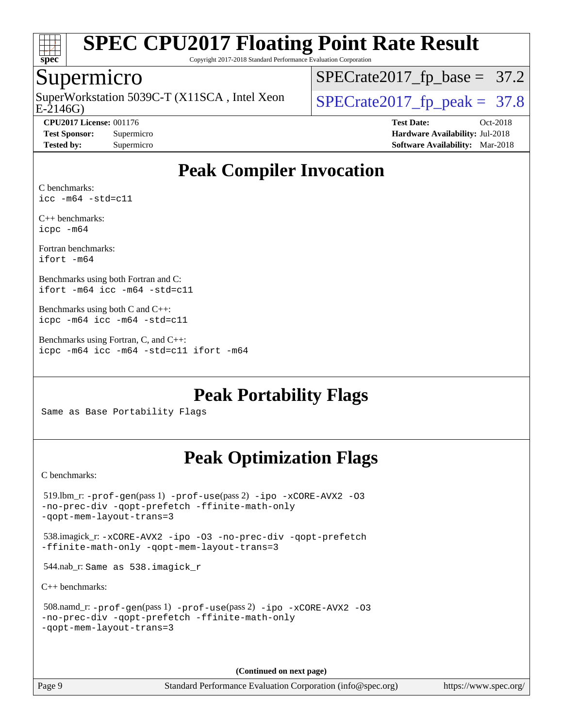

Copyright 2017-2018 Standard Performance Evaluation Corporation

### Supermicro

SuperWorkstation 5039C-T (X11SCA, Intel Xeon<br>E-2146G)

[SPECrate2017\\_fp\\_base =](http://www.spec.org/auto/cpu2017/Docs/result-fields.html#SPECrate2017fpbase) 37.2

 $SPECTate2017_f p_peak = 37.8$ 

**[CPU2017 License:](http://www.spec.org/auto/cpu2017/Docs/result-fields.html#CPU2017License)** 001176 **[Test Date:](http://www.spec.org/auto/cpu2017/Docs/result-fields.html#TestDate)** Oct-2018 **[Test Sponsor:](http://www.spec.org/auto/cpu2017/Docs/result-fields.html#TestSponsor)** Supermicro **[Hardware Availability:](http://www.spec.org/auto/cpu2017/Docs/result-fields.html#HardwareAvailability)** Jul-2018 **[Tested by:](http://www.spec.org/auto/cpu2017/Docs/result-fields.html#Testedby)** Supermicro **[Software Availability:](http://www.spec.org/auto/cpu2017/Docs/result-fields.html#SoftwareAvailability)** Mar-2018

## **[Peak Compiler Invocation](http://www.spec.org/auto/cpu2017/Docs/result-fields.html#PeakCompilerInvocation)**

[C benchmarks:](http://www.spec.org/auto/cpu2017/Docs/result-fields.html#Cbenchmarks) [icc -m64 -std=c11](http://www.spec.org/cpu2017/results/res2018q4/cpu2017-20181029-09425.flags.html#user_CCpeak_intel_icc_64bit_c11_33ee0cdaae7deeeab2a9725423ba97205ce30f63b9926c2519791662299b76a0318f32ddfffdc46587804de3178b4f9328c46fa7c2b0cd779d7a61945c91cd35)

[C++ benchmarks:](http://www.spec.org/auto/cpu2017/Docs/result-fields.html#CXXbenchmarks) [icpc -m64](http://www.spec.org/cpu2017/results/res2018q4/cpu2017-20181029-09425.flags.html#user_CXXpeak_intel_icpc_64bit_4ecb2543ae3f1412ef961e0650ca070fec7b7afdcd6ed48761b84423119d1bf6bdf5cad15b44d48e7256388bc77273b966e5eb805aefd121eb22e9299b2ec9d9)

[Fortran benchmarks](http://www.spec.org/auto/cpu2017/Docs/result-fields.html#Fortranbenchmarks): [ifort -m64](http://www.spec.org/cpu2017/results/res2018q4/cpu2017-20181029-09425.flags.html#user_FCpeak_intel_ifort_64bit_24f2bb282fbaeffd6157abe4f878425411749daecae9a33200eee2bee2fe76f3b89351d69a8130dd5949958ce389cf37ff59a95e7a40d588e8d3a57e0c3fd751)

[Benchmarks using both Fortran and C:](http://www.spec.org/auto/cpu2017/Docs/result-fields.html#BenchmarksusingbothFortranandC) [ifort -m64](http://www.spec.org/cpu2017/results/res2018q4/cpu2017-20181029-09425.flags.html#user_CC_FCpeak_intel_ifort_64bit_24f2bb282fbaeffd6157abe4f878425411749daecae9a33200eee2bee2fe76f3b89351d69a8130dd5949958ce389cf37ff59a95e7a40d588e8d3a57e0c3fd751) [icc -m64 -std=c11](http://www.spec.org/cpu2017/results/res2018q4/cpu2017-20181029-09425.flags.html#user_CC_FCpeak_intel_icc_64bit_c11_33ee0cdaae7deeeab2a9725423ba97205ce30f63b9926c2519791662299b76a0318f32ddfffdc46587804de3178b4f9328c46fa7c2b0cd779d7a61945c91cd35)

[Benchmarks using both C and C++](http://www.spec.org/auto/cpu2017/Docs/result-fields.html#BenchmarksusingbothCandCXX): [icpc -m64](http://www.spec.org/cpu2017/results/res2018q4/cpu2017-20181029-09425.flags.html#user_CC_CXXpeak_intel_icpc_64bit_4ecb2543ae3f1412ef961e0650ca070fec7b7afdcd6ed48761b84423119d1bf6bdf5cad15b44d48e7256388bc77273b966e5eb805aefd121eb22e9299b2ec9d9) [icc -m64 -std=c11](http://www.spec.org/cpu2017/results/res2018q4/cpu2017-20181029-09425.flags.html#user_CC_CXXpeak_intel_icc_64bit_c11_33ee0cdaae7deeeab2a9725423ba97205ce30f63b9926c2519791662299b76a0318f32ddfffdc46587804de3178b4f9328c46fa7c2b0cd779d7a61945c91cd35)

[Benchmarks using Fortran, C, and C++:](http://www.spec.org/auto/cpu2017/Docs/result-fields.html#BenchmarksusingFortranCandCXX) [icpc -m64](http://www.spec.org/cpu2017/results/res2018q4/cpu2017-20181029-09425.flags.html#user_CC_CXX_FCpeak_intel_icpc_64bit_4ecb2543ae3f1412ef961e0650ca070fec7b7afdcd6ed48761b84423119d1bf6bdf5cad15b44d48e7256388bc77273b966e5eb805aefd121eb22e9299b2ec9d9) [icc -m64 -std=c11](http://www.spec.org/cpu2017/results/res2018q4/cpu2017-20181029-09425.flags.html#user_CC_CXX_FCpeak_intel_icc_64bit_c11_33ee0cdaae7deeeab2a9725423ba97205ce30f63b9926c2519791662299b76a0318f32ddfffdc46587804de3178b4f9328c46fa7c2b0cd779d7a61945c91cd35) [ifort -m64](http://www.spec.org/cpu2017/results/res2018q4/cpu2017-20181029-09425.flags.html#user_CC_CXX_FCpeak_intel_ifort_64bit_24f2bb282fbaeffd6157abe4f878425411749daecae9a33200eee2bee2fe76f3b89351d69a8130dd5949958ce389cf37ff59a95e7a40d588e8d3a57e0c3fd751)

**[Peak Portability Flags](http://www.spec.org/auto/cpu2017/Docs/result-fields.html#PeakPortabilityFlags)**

Same as Base Portability Flags

## **[Peak Optimization Flags](http://www.spec.org/auto/cpu2017/Docs/result-fields.html#PeakOptimizationFlags)**

[C benchmarks](http://www.spec.org/auto/cpu2017/Docs/result-fields.html#Cbenchmarks):

```
 519.lbm_r: -prof-gen(pass 1) -prof-use(pass 2) -ipo -xCORE-AVX2 -O3
-no-prec-div -qopt-prefetch -ffinite-math-only
-qopt-mem-layout-trans=3
 538.imagick_r: -xCORE-AVX2 -ipo -O3 -no-prec-div -qopt-prefetch
-ffinite-math-only -qopt-mem-layout-trans=3
 544.nab_r: Same as 538.imagick_r
C++ benchmarks: 
 508.namd_r: -prof-gen(pass 1) -prof-use(pass 2) -ipo -xCORE-AVX2 -O3
-no-prec-div -qopt-prefetch -ffinite-math-only
-qopt-mem-layout-trans=3
```
**(Continued on next page)**

Page 9 Standard Performance Evaluation Corporation [\(info@spec.org\)](mailto:info@spec.org) <https://www.spec.org/>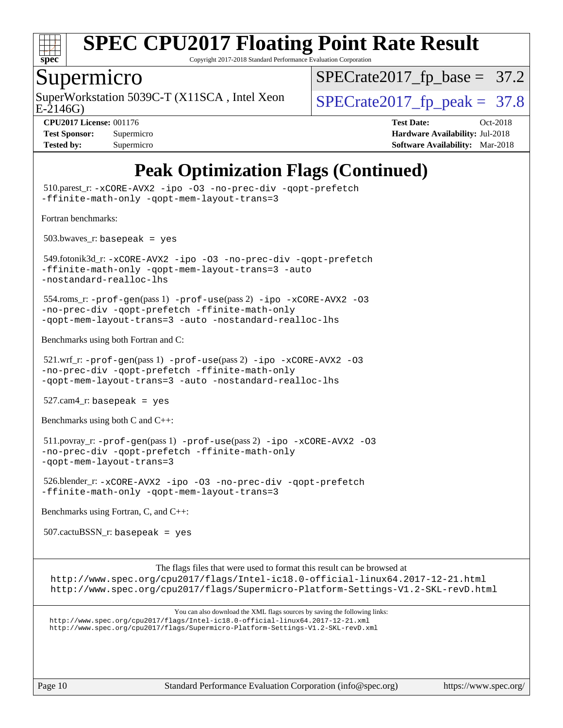

Copyright 2017-2018 Standard Performance Evaluation Corporation

### Supermicro

SuperWorkstation 5039C-T (X11SCA, Intel Xeon<br>E-2146G)

 $SPECTate2017_fp\_base = 37.2$ 

 $SPECTate 2017_f p_peak = 37.8$ 

**[CPU2017 License:](http://www.spec.org/auto/cpu2017/Docs/result-fields.html#CPU2017License)** 001176 **[Test Date:](http://www.spec.org/auto/cpu2017/Docs/result-fields.html#TestDate)** Oct-2018 **[Test Sponsor:](http://www.spec.org/auto/cpu2017/Docs/result-fields.html#TestSponsor)** Supermicro **[Hardware Availability:](http://www.spec.org/auto/cpu2017/Docs/result-fields.html#HardwareAvailability)** Jul-2018 **[Tested by:](http://www.spec.org/auto/cpu2017/Docs/result-fields.html#Testedby)** Supermicro **[Software Availability:](http://www.spec.org/auto/cpu2017/Docs/result-fields.html#SoftwareAvailability)** Mar-2018

# **[Peak Optimization Flags \(Continued\)](http://www.spec.org/auto/cpu2017/Docs/result-fields.html#PeakOptimizationFlags)**

Page 10 Standard Performance Evaluation Corporation [\(info@spec.org\)](mailto:info@spec.org) <https://www.spec.org/> 510.parest\_r: [-xCORE-AVX2](http://www.spec.org/cpu2017/results/res2018q4/cpu2017-20181029-09425.flags.html#user_peakCXXOPTIMIZE510_parest_r_f-xCORE-AVX2) [-ipo](http://www.spec.org/cpu2017/results/res2018q4/cpu2017-20181029-09425.flags.html#user_peakCXXOPTIMIZE510_parest_r_f-ipo) [-O3](http://www.spec.org/cpu2017/results/res2018q4/cpu2017-20181029-09425.flags.html#user_peakCXXOPTIMIZE510_parest_r_f-O3) [-no-prec-div](http://www.spec.org/cpu2017/results/res2018q4/cpu2017-20181029-09425.flags.html#user_peakCXXOPTIMIZE510_parest_r_f-no-prec-div) [-qopt-prefetch](http://www.spec.org/cpu2017/results/res2018q4/cpu2017-20181029-09425.flags.html#user_peakCXXOPTIMIZE510_parest_r_f-qopt-prefetch) [-ffinite-math-only](http://www.spec.org/cpu2017/results/res2018q4/cpu2017-20181029-09425.flags.html#user_peakCXXOPTIMIZE510_parest_r_f_finite_math_only_cb91587bd2077682c4b38af759c288ed7c732db004271a9512da14a4f8007909a5f1427ecbf1a0fb78ff2a814402c6114ac565ca162485bbcae155b5e4258871) [-qopt-mem-layout-trans=3](http://www.spec.org/cpu2017/results/res2018q4/cpu2017-20181029-09425.flags.html#user_peakCXXOPTIMIZE510_parest_r_f-qopt-mem-layout-trans_de80db37974c74b1f0e20d883f0b675c88c3b01e9d123adea9b28688d64333345fb62bc4a798493513fdb68f60282f9a726aa07f478b2f7113531aecce732043) [Fortran benchmarks](http://www.spec.org/auto/cpu2017/Docs/result-fields.html#Fortranbenchmarks):  $503.bwaves$  r: basepeak = yes 549.fotonik3d\_r: [-xCORE-AVX2](http://www.spec.org/cpu2017/results/res2018q4/cpu2017-20181029-09425.flags.html#user_peakFOPTIMIZE549_fotonik3d_r_f-xCORE-AVX2) [-ipo](http://www.spec.org/cpu2017/results/res2018q4/cpu2017-20181029-09425.flags.html#user_peakFOPTIMIZE549_fotonik3d_r_f-ipo) [-O3](http://www.spec.org/cpu2017/results/res2018q4/cpu2017-20181029-09425.flags.html#user_peakFOPTIMIZE549_fotonik3d_r_f-O3) [-no-prec-div](http://www.spec.org/cpu2017/results/res2018q4/cpu2017-20181029-09425.flags.html#user_peakFOPTIMIZE549_fotonik3d_r_f-no-prec-div) [-qopt-prefetch](http://www.spec.org/cpu2017/results/res2018q4/cpu2017-20181029-09425.flags.html#user_peakFOPTIMIZE549_fotonik3d_r_f-qopt-prefetch) [-ffinite-math-only](http://www.spec.org/cpu2017/results/res2018q4/cpu2017-20181029-09425.flags.html#user_peakFOPTIMIZE549_fotonik3d_r_f_finite_math_only_cb91587bd2077682c4b38af759c288ed7c732db004271a9512da14a4f8007909a5f1427ecbf1a0fb78ff2a814402c6114ac565ca162485bbcae155b5e4258871) [-qopt-mem-layout-trans=3](http://www.spec.org/cpu2017/results/res2018q4/cpu2017-20181029-09425.flags.html#user_peakFOPTIMIZE549_fotonik3d_r_f-qopt-mem-layout-trans_de80db37974c74b1f0e20d883f0b675c88c3b01e9d123adea9b28688d64333345fb62bc4a798493513fdb68f60282f9a726aa07f478b2f7113531aecce732043) [-auto](http://www.spec.org/cpu2017/results/res2018q4/cpu2017-20181029-09425.flags.html#user_peakFOPTIMIZE549_fotonik3d_r_f-auto) [-nostandard-realloc-lhs](http://www.spec.org/cpu2017/results/res2018q4/cpu2017-20181029-09425.flags.html#user_peakEXTRA_FOPTIMIZE549_fotonik3d_r_f_2003_std_realloc_82b4557e90729c0f113870c07e44d33d6f5a304b4f63d4c15d2d0f1fab99f5daaed73bdb9275d9ae411527f28b936061aa8b9c8f2d63842963b95c9dd6426b8a) 554.roms\_r: [-prof-gen](http://www.spec.org/cpu2017/results/res2018q4/cpu2017-20181029-09425.flags.html#user_peakPASS1_FFLAGSPASS1_LDFLAGS554_roms_r_prof_gen_5aa4926d6013ddb2a31985c654b3eb18169fc0c6952a63635c234f711e6e63dd76e94ad52365559451ec499a2cdb89e4dc58ba4c67ef54ca681ffbe1461d6b36)(pass 1) [-prof-use](http://www.spec.org/cpu2017/results/res2018q4/cpu2017-20181029-09425.flags.html#user_peakPASS2_FFLAGSPASS2_LDFLAGS554_roms_r_prof_use_1a21ceae95f36a2b53c25747139a6c16ca95bd9def2a207b4f0849963b97e94f5260e30a0c64f4bb623698870e679ca08317ef8150905d41bd88c6f78df73f19)(pass 2) [-ipo](http://www.spec.org/cpu2017/results/res2018q4/cpu2017-20181029-09425.flags.html#user_peakPASS1_FOPTIMIZEPASS2_FOPTIMIZE554_roms_r_f-ipo) [-xCORE-AVX2](http://www.spec.org/cpu2017/results/res2018q4/cpu2017-20181029-09425.flags.html#user_peakPASS2_FOPTIMIZE554_roms_r_f-xCORE-AVX2) [-O3](http://www.spec.org/cpu2017/results/res2018q4/cpu2017-20181029-09425.flags.html#user_peakPASS1_FOPTIMIZEPASS2_FOPTIMIZE554_roms_r_f-O3) [-no-prec-div](http://www.spec.org/cpu2017/results/res2018q4/cpu2017-20181029-09425.flags.html#user_peakPASS1_FOPTIMIZEPASS2_FOPTIMIZE554_roms_r_f-no-prec-div) [-qopt-prefetch](http://www.spec.org/cpu2017/results/res2018q4/cpu2017-20181029-09425.flags.html#user_peakPASS1_FOPTIMIZEPASS2_FOPTIMIZE554_roms_r_f-qopt-prefetch) [-ffinite-math-only](http://www.spec.org/cpu2017/results/res2018q4/cpu2017-20181029-09425.flags.html#user_peakPASS1_FOPTIMIZEPASS2_FOPTIMIZE554_roms_r_f_finite_math_only_cb91587bd2077682c4b38af759c288ed7c732db004271a9512da14a4f8007909a5f1427ecbf1a0fb78ff2a814402c6114ac565ca162485bbcae155b5e4258871) [-qopt-mem-layout-trans=3](http://www.spec.org/cpu2017/results/res2018q4/cpu2017-20181029-09425.flags.html#user_peakPASS1_FOPTIMIZEPASS2_FOPTIMIZE554_roms_r_f-qopt-mem-layout-trans_de80db37974c74b1f0e20d883f0b675c88c3b01e9d123adea9b28688d64333345fb62bc4a798493513fdb68f60282f9a726aa07f478b2f7113531aecce732043) [-auto](http://www.spec.org/cpu2017/results/res2018q4/cpu2017-20181029-09425.flags.html#user_peakPASS2_FOPTIMIZE554_roms_r_f-auto) [-nostandard-realloc-lhs](http://www.spec.org/cpu2017/results/res2018q4/cpu2017-20181029-09425.flags.html#user_peakEXTRA_FOPTIMIZE554_roms_r_f_2003_std_realloc_82b4557e90729c0f113870c07e44d33d6f5a304b4f63d4c15d2d0f1fab99f5daaed73bdb9275d9ae411527f28b936061aa8b9c8f2d63842963b95c9dd6426b8a) [Benchmarks using both Fortran and C](http://www.spec.org/auto/cpu2017/Docs/result-fields.html#BenchmarksusingbothFortranandC):  $521.\text{wrf}$ :  $-\text{prof-qen(pass 1)} -\text{prof-use(pass 2)} -\text{ipo } -\text{xCORE-AVX2} -03$ [-no-prec-div](http://www.spec.org/cpu2017/results/res2018q4/cpu2017-20181029-09425.flags.html#user_peakPASS1_COPTIMIZEPASS1_FOPTIMIZEPASS2_COPTIMIZEPASS2_FOPTIMIZE521_wrf_r_f-no-prec-div) [-qopt-prefetch](http://www.spec.org/cpu2017/results/res2018q4/cpu2017-20181029-09425.flags.html#user_peakPASS1_COPTIMIZEPASS1_FOPTIMIZEPASS2_COPTIMIZEPASS2_FOPTIMIZE521_wrf_r_f-qopt-prefetch) [-ffinite-math-only](http://www.spec.org/cpu2017/results/res2018q4/cpu2017-20181029-09425.flags.html#user_peakPASS1_COPTIMIZEPASS1_FOPTIMIZEPASS2_COPTIMIZEPASS2_FOPTIMIZE521_wrf_r_f_finite_math_only_cb91587bd2077682c4b38af759c288ed7c732db004271a9512da14a4f8007909a5f1427ecbf1a0fb78ff2a814402c6114ac565ca162485bbcae155b5e4258871) [-qopt-mem-layout-trans=3](http://www.spec.org/cpu2017/results/res2018q4/cpu2017-20181029-09425.flags.html#user_peakPASS1_COPTIMIZEPASS1_FOPTIMIZEPASS2_COPTIMIZEPASS2_FOPTIMIZE521_wrf_r_f-qopt-mem-layout-trans_de80db37974c74b1f0e20d883f0b675c88c3b01e9d123adea9b28688d64333345fb62bc4a798493513fdb68f60282f9a726aa07f478b2f7113531aecce732043) [-auto](http://www.spec.org/cpu2017/results/res2018q4/cpu2017-20181029-09425.flags.html#user_peakPASS2_FOPTIMIZE521_wrf_r_f-auto) [-nostandard-realloc-lhs](http://www.spec.org/cpu2017/results/res2018q4/cpu2017-20181029-09425.flags.html#user_peakEXTRA_FOPTIMIZE521_wrf_r_f_2003_std_realloc_82b4557e90729c0f113870c07e44d33d6f5a304b4f63d4c15d2d0f1fab99f5daaed73bdb9275d9ae411527f28b936061aa8b9c8f2d63842963b95c9dd6426b8a)  $527.cam4_r$ : basepeak = yes [Benchmarks using both C and C++](http://www.spec.org/auto/cpu2017/Docs/result-fields.html#BenchmarksusingbothCandCXX): 511.povray\_r: [-prof-gen](http://www.spec.org/cpu2017/results/res2018q4/cpu2017-20181029-09425.flags.html#user_peakPASS1_CFLAGSPASS1_CXXFLAGSPASS1_LDFLAGS511_povray_r_prof_gen_5aa4926d6013ddb2a31985c654b3eb18169fc0c6952a63635c234f711e6e63dd76e94ad52365559451ec499a2cdb89e4dc58ba4c67ef54ca681ffbe1461d6b36)(pass 1) [-prof-use](http://www.spec.org/cpu2017/results/res2018q4/cpu2017-20181029-09425.flags.html#user_peakPASS2_CFLAGSPASS2_CXXFLAGSPASS2_LDFLAGS511_povray_r_prof_use_1a21ceae95f36a2b53c25747139a6c16ca95bd9def2a207b4f0849963b97e94f5260e30a0c64f4bb623698870e679ca08317ef8150905d41bd88c6f78df73f19)(pass 2) [-ipo](http://www.spec.org/cpu2017/results/res2018q4/cpu2017-20181029-09425.flags.html#user_peakPASS1_COPTIMIZEPASS1_CXXOPTIMIZEPASS2_COPTIMIZEPASS2_CXXOPTIMIZE511_povray_r_f-ipo) [-xCORE-AVX2](http://www.spec.org/cpu2017/results/res2018q4/cpu2017-20181029-09425.flags.html#user_peakPASS2_COPTIMIZEPASS2_CXXOPTIMIZE511_povray_r_f-xCORE-AVX2) [-O3](http://www.spec.org/cpu2017/results/res2018q4/cpu2017-20181029-09425.flags.html#user_peakPASS1_COPTIMIZEPASS1_CXXOPTIMIZEPASS2_COPTIMIZEPASS2_CXXOPTIMIZE511_povray_r_f-O3) [-no-prec-div](http://www.spec.org/cpu2017/results/res2018q4/cpu2017-20181029-09425.flags.html#user_peakPASS1_COPTIMIZEPASS1_CXXOPTIMIZEPASS2_COPTIMIZEPASS2_CXXOPTIMIZE511_povray_r_f-no-prec-div) [-qopt-prefetch](http://www.spec.org/cpu2017/results/res2018q4/cpu2017-20181029-09425.flags.html#user_peakPASS1_COPTIMIZEPASS1_CXXOPTIMIZEPASS2_COPTIMIZEPASS2_CXXOPTIMIZE511_povray_r_f-qopt-prefetch) [-ffinite-math-only](http://www.spec.org/cpu2017/results/res2018q4/cpu2017-20181029-09425.flags.html#user_peakPASS1_COPTIMIZEPASS1_CXXOPTIMIZEPASS2_COPTIMIZEPASS2_CXXOPTIMIZE511_povray_r_f_finite_math_only_cb91587bd2077682c4b38af759c288ed7c732db004271a9512da14a4f8007909a5f1427ecbf1a0fb78ff2a814402c6114ac565ca162485bbcae155b5e4258871) [-qopt-mem-layout-trans=3](http://www.spec.org/cpu2017/results/res2018q4/cpu2017-20181029-09425.flags.html#user_peakPASS1_COPTIMIZEPASS1_CXXOPTIMIZEPASS2_COPTIMIZEPASS2_CXXOPTIMIZE511_povray_r_f-qopt-mem-layout-trans_de80db37974c74b1f0e20d883f0b675c88c3b01e9d123adea9b28688d64333345fb62bc4a798493513fdb68f60282f9a726aa07f478b2f7113531aecce732043) 526.blender\_r: [-xCORE-AVX2](http://www.spec.org/cpu2017/results/res2018q4/cpu2017-20181029-09425.flags.html#user_peakCOPTIMIZECXXOPTIMIZE526_blender_r_f-xCORE-AVX2) [-ipo](http://www.spec.org/cpu2017/results/res2018q4/cpu2017-20181029-09425.flags.html#user_peakCOPTIMIZECXXOPTIMIZE526_blender_r_f-ipo) [-O3](http://www.spec.org/cpu2017/results/res2018q4/cpu2017-20181029-09425.flags.html#user_peakCOPTIMIZECXXOPTIMIZE526_blender_r_f-O3) [-no-prec-div](http://www.spec.org/cpu2017/results/res2018q4/cpu2017-20181029-09425.flags.html#user_peakCOPTIMIZECXXOPTIMIZE526_blender_r_f-no-prec-div) [-qopt-prefetch](http://www.spec.org/cpu2017/results/res2018q4/cpu2017-20181029-09425.flags.html#user_peakCOPTIMIZECXXOPTIMIZE526_blender_r_f-qopt-prefetch) [-ffinite-math-only](http://www.spec.org/cpu2017/results/res2018q4/cpu2017-20181029-09425.flags.html#user_peakCOPTIMIZECXXOPTIMIZE526_blender_r_f_finite_math_only_cb91587bd2077682c4b38af759c288ed7c732db004271a9512da14a4f8007909a5f1427ecbf1a0fb78ff2a814402c6114ac565ca162485bbcae155b5e4258871) [-qopt-mem-layout-trans=3](http://www.spec.org/cpu2017/results/res2018q4/cpu2017-20181029-09425.flags.html#user_peakCOPTIMIZECXXOPTIMIZE526_blender_r_f-qopt-mem-layout-trans_de80db37974c74b1f0e20d883f0b675c88c3b01e9d123adea9b28688d64333345fb62bc4a798493513fdb68f60282f9a726aa07f478b2f7113531aecce732043) [Benchmarks using Fortran, C, and C++:](http://www.spec.org/auto/cpu2017/Docs/result-fields.html#BenchmarksusingFortranCandCXX) 507.cactuBSSN\_r: basepeak = yes The flags files that were used to format this result can be browsed at <http://www.spec.org/cpu2017/flags/Intel-ic18.0-official-linux64.2017-12-21.html> <http://www.spec.org/cpu2017/flags/Supermicro-Platform-Settings-V1.2-SKL-revD.html> You can also download the XML flags sources by saving the following links: <http://www.spec.org/cpu2017/flags/Intel-ic18.0-official-linux64.2017-12-21.xml> <http://www.spec.org/cpu2017/flags/Supermicro-Platform-Settings-V1.2-SKL-revD.xml>